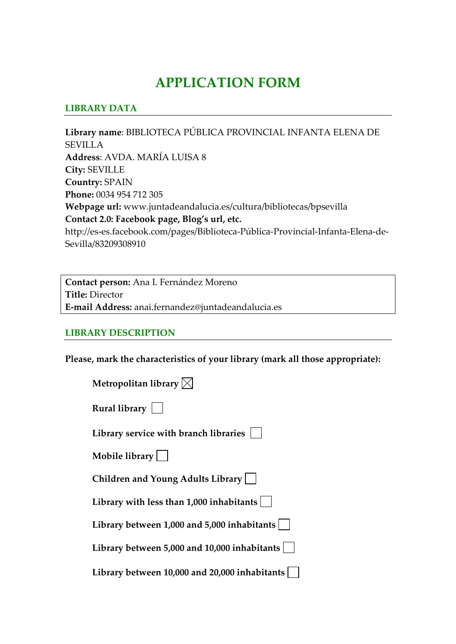# **APPLICATION FORM**

#### **LIBRARY DATA**

**Library name**: BIBLIOTECA PÚBLICA PROVINCIAL INFANTA ELENA DE SEVILLA **Address**: AVDA. MARÍA LUISA 8 **City:** SEVILLE **Country:** SPAIN **Phone:** 0034 954 712 305 **Webpage url:** www.juntadeandalucia.es/cultura/bibliotecas/bpsevilla **Contact 2.0: Facebook page, Blog's url, etc.** http://es‐es.facebook.com/pages/Biblioteca‐Pública‐Provincial‐Infanta‐Elena‐de‐ Sevilla/83209308910

**Contact person:** Ana I. Fernández Moreno **Title:** Director **E‐mail Address:** anai.fernandez@juntadeandalucia.es

#### **LIBRARY DESCRIPTION**

**Please, mark the characteristics of your library (mark all those appropriate):**

| Metropolitan library $\boxtimes$              |
|-----------------------------------------------|
| Rural library                                 |
| Library service with branch libraries         |
| Mobile library                                |
| Children and Young Adults Library             |
| Library with less than $1,000$ inhabitants    |
| Library between 1,000 and 5,000 inhabitants   |
| Library between 5,000 and 10,000 inhabitants  |
| Library between 10,000 and 20,000 inhabitants |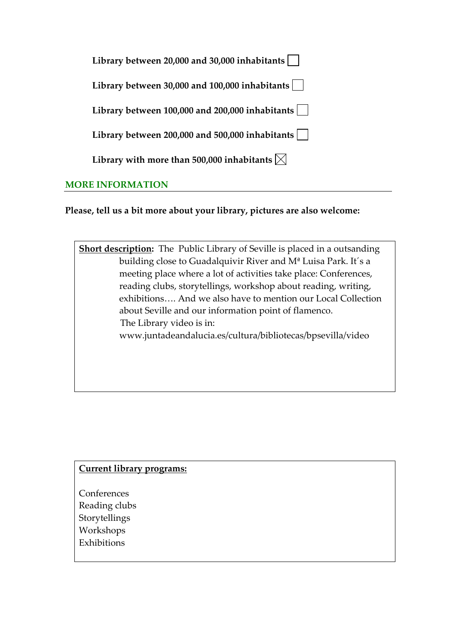| Library between 20,000 and 30,000 inhabitants                   |
|-----------------------------------------------------------------|
| Library between 30,000 and 100,000 inhabitants                  |
| Library between 100,000 and 200,000 inhabitants                 |
| Library between 200,000 and 500,000 inhabitants $\vert$         |
| Library with more than 500,000 inhabitants $\vert \times \vert$ |
|                                                                 |

## **MORE INFORMATION**

**Please, tell us a bit more about your library, pictures are also welcome:** 

**Short description:** The Public Library of Seville is placed in a outsanding building close to Guadalquivir River and Mª Luisa Park. It´s a meeting place where a lot of activities take place: Conferences, reading clubs, storytellings, workshop about reading, writing, exhibitions…. And we also have to mention our Local Collection about Seville and our information point of flamenco. The Library video is in: www.juntadeandalucia.es/cultura/bibliotecas/bpsevilla/video

## **Current library programs:**

**Conferences** Reading clubs Storytellings Workshops Exhibitions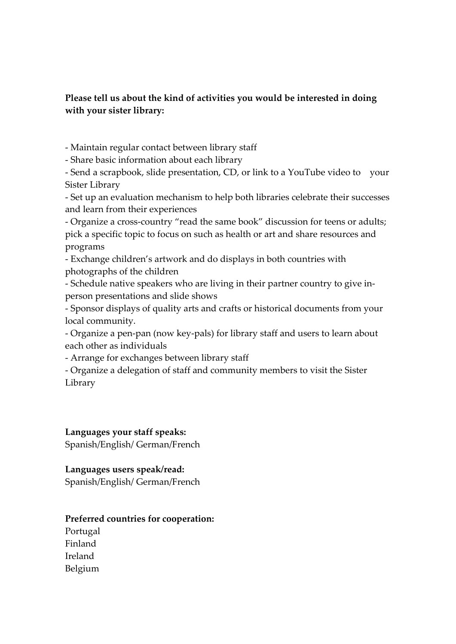## **Please tell us about the kind of activities you would be interested in doing with your sister library:**

‐ Maintain regular contact between library staff

‐ Share basic information about each library

‐ Send a scrapbook, slide presentation, CD, or link to a YouTube video to your Sister Library

‐ Set up an evaluation mechanism to help both libraries celebrate their successes and learn from their experiences

‐ Organize a cross‐country "read the same book" discussion for teens or adults; pick a specific topic to focus on such as health or art and share resources and programs

‐ Exchange children's artwork and do displays in both countries with photographs of the children

‐ Schedule native speakers who are living in their partner country to give in‐ person presentations and slide shows

‐ Sponsor displays of quality arts and crafts or historical documents from your local community.

‐ Organize a pen‐pan (now key‐pals) for library staff and users to learn about each other as individuals

‐ Arrange for exchanges between library staff

‐ Organize a delegation of staff and community members to visit the Sister Library

**Languages your staff speaks:** Spanish/English/ German/French

## **Languages users speak/read:**

Spanish/English/ German/French

## **Preferred countries for cooperation:**

Portugal Finland Ireland Belgium